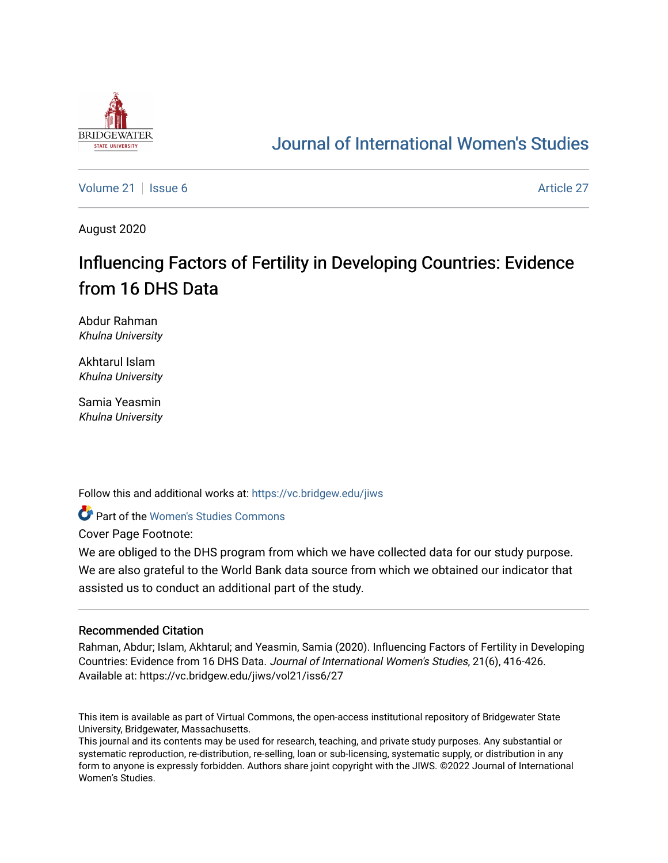

# [Journal of International Women's Studies](https://vc.bridgew.edu/jiws)

[Volume 21](https://vc.bridgew.edu/jiws/vol21) | [Issue 6](https://vc.bridgew.edu/jiws/vol21/iss6) [Article 27](https://vc.bridgew.edu/jiws/vol21/iss6/27) | Issue 6 Article 27 | Issue 6 Article 27 | Issue 6 Article 27 | Issue 6 Article 27

August 2020

# Influencing Factors of Fertility in Developing Countries: Evidence from 16 DHS Data

Abdur Rahman Khulna University

Akhtarul Islam Khulna University

Samia Yeasmin Khulna University

Follow this and additional works at: [https://vc.bridgew.edu/jiws](https://vc.bridgew.edu/jiws?utm_source=vc.bridgew.edu%2Fjiws%2Fvol21%2Fiss6%2F27&utm_medium=PDF&utm_campaign=PDFCoverPages)

**C** Part of the Women's Studies Commons

Cover Page Footnote:

We are obliged to the DHS program from which we have collected data for our study purpose. We are also grateful to the World Bank data source from which we obtained our indicator that assisted us to conduct an additional part of the study.

### Recommended Citation

Rahman, Abdur; Islam, Akhtarul; and Yeasmin, Samia (2020). Influencing Factors of Fertility in Developing Countries: Evidence from 16 DHS Data. Journal of International Women's Studies, 21(6), 416-426. Available at: https://vc.bridgew.edu/jiws/vol21/iss6/27

This item is available as part of Virtual Commons, the open-access institutional repository of Bridgewater State University, Bridgewater, Massachusetts.

This journal and its contents may be used for research, teaching, and private study purposes. Any substantial or systematic reproduction, re-distribution, re-selling, loan or sub-licensing, systematic supply, or distribution in any form to anyone is expressly forbidden. Authors share joint copyright with the JIWS. ©2022 Journal of International Women's Studies.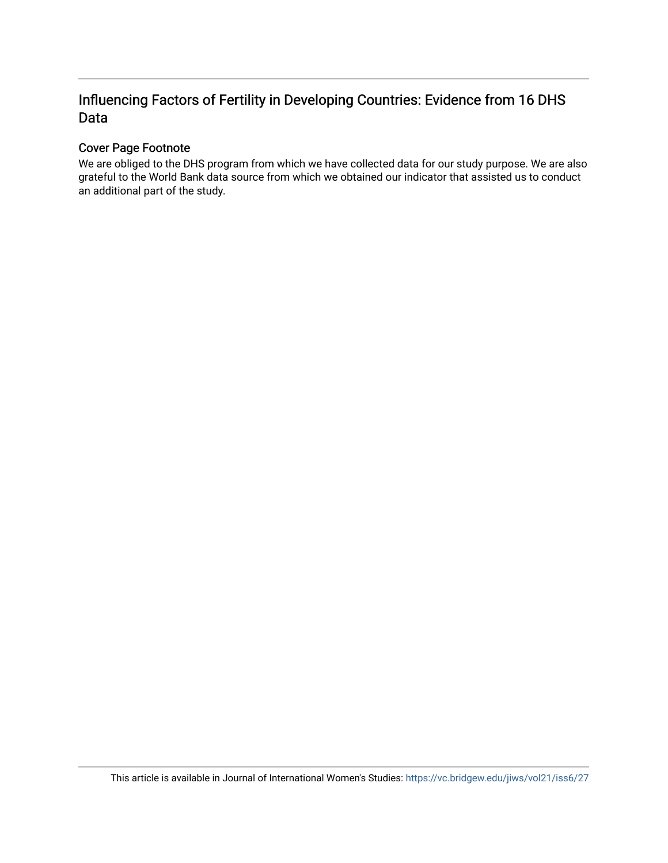## Influencing Factors of Fertility in Developing Countries: Evidence from 16 DHS Data

## Cover Page Footnote

We are obliged to the DHS program from which we have collected data for our study purpose. We are also grateful to the World Bank data source from which we obtained our indicator that assisted us to conduct an additional part of the study.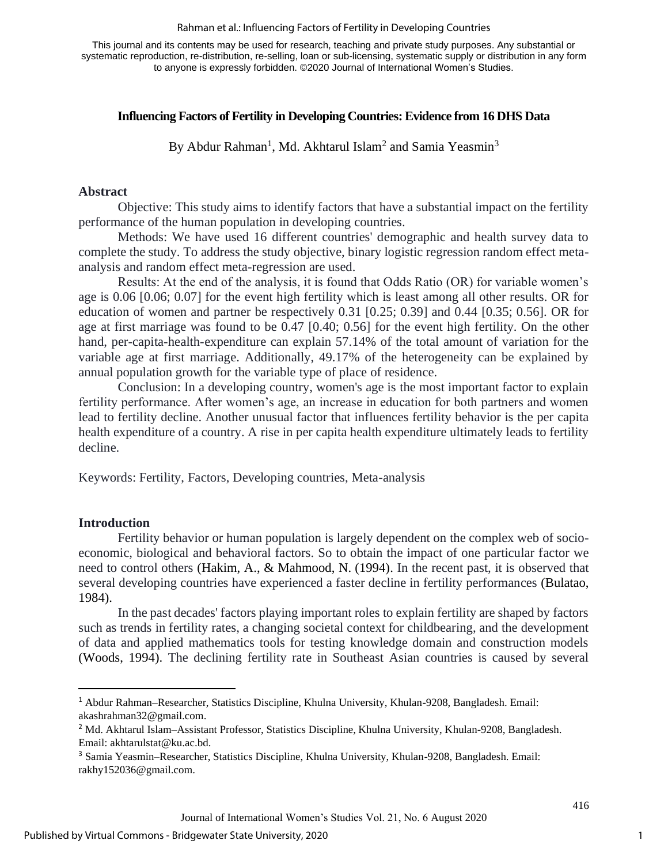#### Rahman et al.: Influencing Factors of Fertility in Developing Countries

This journal and its contents may be used for research, teaching and private study purposes. Any substantial or systematic reproduction, re-distribution, re-selling, loan or sub-licensing, systematic supply or distribution in any form to anyone is expressly forbidden. ©2020 Journal of International Women's Studies.

## **Influencing Factors of Fertility in Developing Countries: Evidence from 16 DHS Data**

By Abdur Rahman<sup>1</sup>, Md. Akhtarul Islam<sup>2</sup> and Samia Yeasmin<sup>3</sup>

## **Abstract**

Objective: This study aims to identify factors that have a substantial impact on the fertility performance of the human population in developing countries.

Methods: We have used 16 different countries' demographic and health survey data to complete the study. To address the study objective, binary logistic regression random effect metaanalysis and random effect meta-regression are used.

Results: At the end of the analysis, it is found that Odds Ratio (OR) for variable women's age is 0.06 [0.06; 0.07] for the event high fertility which is least among all other results. OR for education of women and partner be respectively 0.31 [0.25; 0.39] and 0.44 [0.35; 0.56]. OR for age at first marriage was found to be 0.47 [0.40; 0.56] for the event high fertility. On the other hand, per-capita-health-expenditure can explain 57.14% of the total amount of variation for the variable age at first marriage. Additionally, 49.17% of the heterogeneity can be explained by annual population growth for the variable type of place of residence.

Conclusion: In a developing country, women's age is the most important factor to explain fertility performance. After women's age, an increase in education for both partners and women lead to fertility decline. Another unusual factor that influences fertility behavior is the per capita health expenditure of a country. A rise in per capita health expenditure ultimately leads to fertility decline.

Keywords: Fertility, Factors, Developing countries, Meta-analysis

### **Introduction**

Fertility behavior or human population is largely dependent on the complex web of socioeconomic, biological and behavioral factors. So to obtain the impact of one particular factor we need to control others (Hakim, A., & Mahmood, N. (1994). In the recent past, it is observed that several developing countries have experienced a faster decline in fertility performances (Bulatao, 1984).

In the past decades' factors playing important roles to explain fertility are shaped by factors such as trends in fertility rates, a changing societal context for childbearing, and the development of data and applied mathematics tools for testing knowledge domain and construction models (Woods, 1994). The declining fertility rate in Southeast Asian countries is caused by several

<sup>1</sup> Abdur Rahman–Researcher, Statistics Discipline, Khulna University, Khulan-9208, Bangladesh. Email: [akashrahman32@gmail.com.](mailto:akashrahman32@gmail.com)

<sup>2</sup> Md. Akhtarul Islam–Assistant Professor, Statistics Discipline, Khulna University, Khulan-9208, Bangladesh. Email: [akhtarulstat@ku.ac.bd.](mailto:akhtarulstat@ku.ac.bd)

<sup>3</sup> Samia Yeasmin–Researcher, Statistics Discipline, Khulna University, Khulan-9208, Bangladesh. Email: [rakhy152036@gmail.com.](mailto:rakhy152036@gmail.com)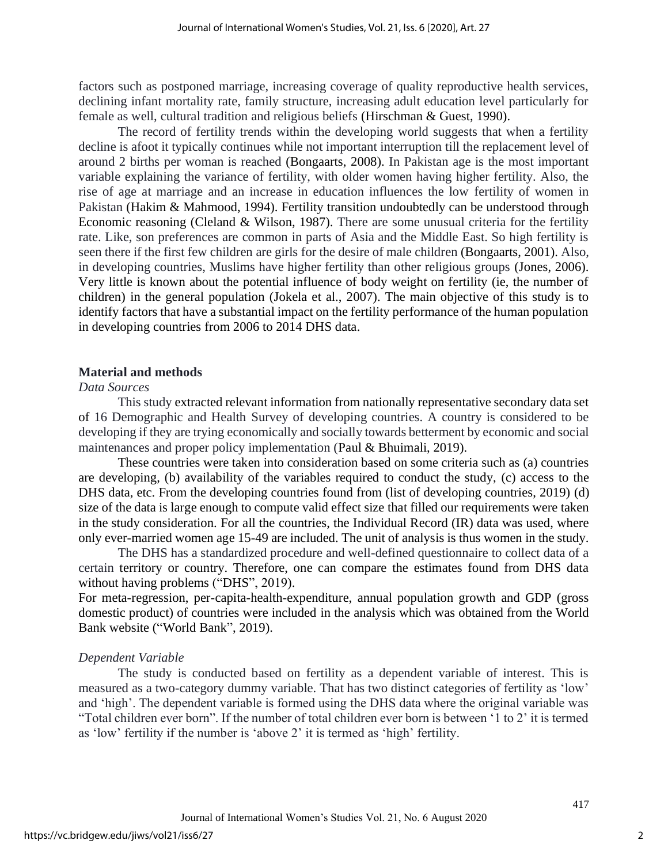factors such as postponed marriage, increasing coverage of quality reproductive health services, declining infant mortality rate, family structure, increasing adult education level particularly for female as well, cultural tradition and religious beliefs (Hirschman & Guest, 1990).

The record of fertility trends within the developing world suggests that when a fertility decline is afoot it typically continues while not important interruption till the replacement level of around 2 births per woman is reached (Bongaarts, 2008). In Pakistan age is the most important variable explaining the variance of fertility, with older women having higher fertility. Also, the rise of age at marriage and an increase in education influences the low fertility of women in Pakistan (Hakim & Mahmood, 1994). Fertility transition undoubtedly can be understood through Economic reasoning (Cleland & Wilson, 1987). There are some unusual criteria for the fertility rate. Like, son preferences are common in parts of Asia and the Middle East. So high fertility is seen there if the first few children are girls for the desire of male children (Bongaarts, 2001). Also, in developing countries, Muslims have higher fertility than other religious groups (Jones, 2006). Very little is known about the potential influence of body weight on fertility (ie, the number of children) in the general population (Jokela et al., 2007). The main objective of this study is to identify factors that have a substantial impact on the fertility performance of the human population in developing countries from 2006 to 2014 DHS data.

## **Material and methods**

## *Data Sources*

This study extracted relevant information from nationally representative secondary data set of 16 Demographic and Health Survey of developing countries. A country is considered to be developing if they are trying economically and socially towards betterment by economic and social maintenances and proper policy implementation (Paul & Bhuimali, 2019).

These countries were taken into consideration based on some criteria such as (a) countries are developing, (b) availability of the variables required to conduct the study, (c) access to the DHS data, etc. From the developing countries found from (list of developing countries, 2019) (d) size of the data is large enough to compute valid effect size that filled our requirements were taken in the study consideration. For all the countries, the Individual Record (IR) data was used, where only ever-married women age 15-49 are included. The unit of analysis is thus women in the study.

The DHS has a standardized procedure and well-defined questionnaire to collect data of a certain territory or country. Therefore, one can compare the estimates found from DHS data without having problems ("DHS", 2019).

For meta-regression, per-capita-health-expenditure, annual population growth and GDP (gross domestic product) of countries were included in the analysis which was obtained from the World Bank website ("World Bank", 2019).

## *Dependent Variable*

The study is conducted based on fertility as a dependent variable of interest. This is measured as a two-category dummy variable. That has two distinct categories of fertility as 'low' and 'high'. The dependent variable is formed using the DHS data where the original variable was "Total children ever born". If the number of total children ever born is between '1 to 2' it is termed as 'low' fertility if the number is 'above 2' it is termed as 'high' fertility.

2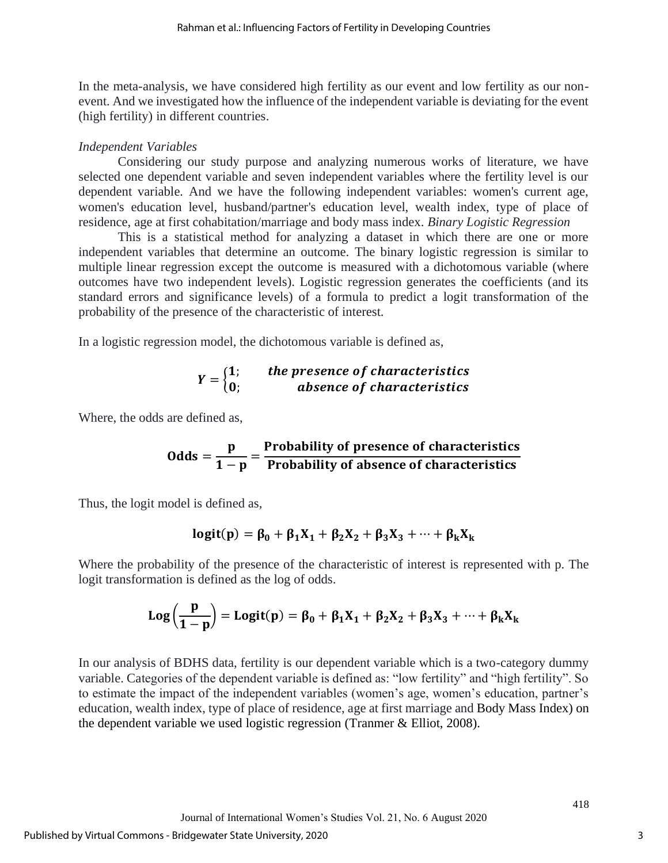In the meta-analysis, we have considered high fertility as our event and low fertility as our nonevent. And we investigated how the influence of the independent variable is deviating for the event (high fertility) in different countries.

## *Independent Variables*

Considering our study purpose and analyzing numerous works of literature, we have selected one dependent variable and seven independent variables where the fertility level is our dependent variable. And we have the following independent variables: women's current age, women's education level, husband/partner's education level, wealth index, type of place of residence, age at first cohabitation/marriage and body mass index. *Binary Logistic Regression*

This is a statistical method for analyzing a dataset in which there are one or more independent variables that determine an outcome. The binary logistic regression is similar to multiple linear regression except the outcome is measured with a dichotomous variable (where outcomes have two independent levels). Logistic regression generates the coefficients (and its standard errors and significance levels) of a formula to predict a logit transformation of the probability of the presence of the characteristic of interest.

In a logistic regression model, the dichotomous variable is defined as,

$$
Y = \begin{cases} 1; & the presence of characteristics \\ 0; & absence of characteristics \end{cases}
$$

Where, the odds are defined as,

Odds = 
$$
\frac{p}{1-p}
$$
 =  $\frac{Probability\ of\ presence\ of\ characteristics}{Probability\ of\ absence\ of\ characteristics}$ 

Thus, the logit model is defined as,

$$
logit(p) = \beta_0 + \beta_1 X_1 + \beta_2 X_2 + \beta_3 X_3 + \cdots + \beta_k X_k
$$

Where the probability of the presence of the characteristic of interest is represented with p. The logit transformation is defined as the log of odds.

$$
Log\left(\frac{p}{1-p}\right)=Logit(p)=\beta_0+\beta_1X_1+\beta_2X_2+\beta_3X_3+\cdots+\beta_kX_k
$$

In our analysis of BDHS data, fertility is our dependent variable which is a two-category dummy variable. Categories of the dependent variable is defined as: "low fertility" and "high fertility". So to estimate the impact of the independent variables (women's age, women's education, partner's education, wealth index, type of place of residence, age at first marriage and Body Mass Index) on the dependent variable we used logistic regression (Tranmer & Elliot, 2008).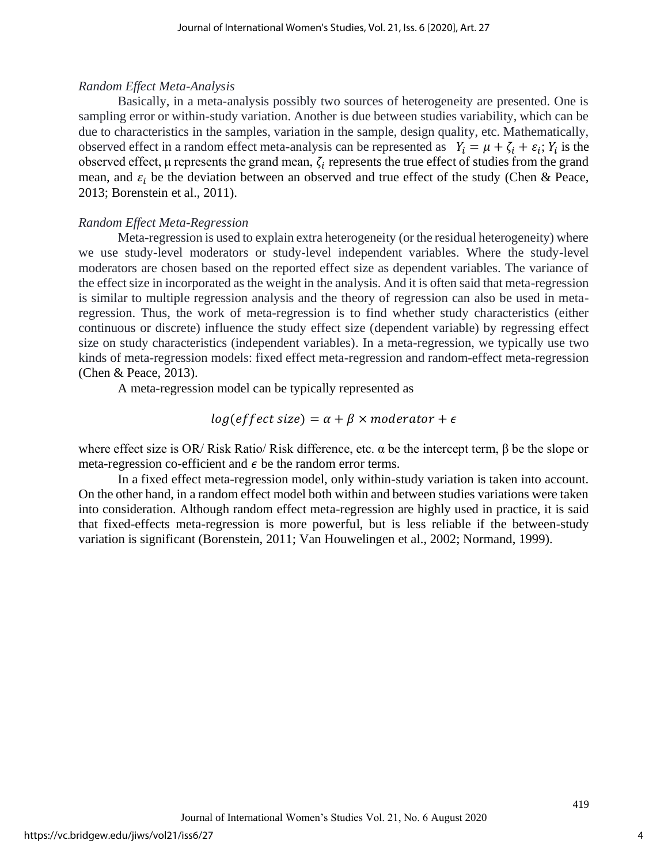## *Random Effect Meta-Analysis*

Basically, in a meta-analysis possibly two sources of heterogeneity are presented. One is sampling error or within-study variation. Another is due between studies variability, which can be due to characteristics in the samples, variation in the sample, design quality, etc. Mathematically, observed effect in a random effect meta-analysis can be represented as  $Y_i = \mu + \zeta_i + \varepsilon_i$ ;  $Y_i$  is the observed effect,  $\mu$  represents the grand mean,  $\zeta_i$  represents the true effect of studies from the grand mean, and  $\varepsilon_i$  be the deviation between an observed and true effect of the study (Chen & Peace, 2013; Borenstein et al., 2011).

## *Random Effect Meta-Regression*

Meta-regression is used to explain extra heterogeneity (or the residual heterogeneity) where we use study-level moderators or study-level independent variables. Where the study-level moderators are chosen based on the reported effect size as dependent variables. The variance of the effect size in incorporated as the weight in the analysis. And it is often said that meta-regression is similar to multiple regression analysis and the theory of regression can also be used in metaregression. Thus, the work of meta-regression is to find whether study characteristics (either continuous or discrete) influence the study effect size (dependent variable) by regressing effect size on study characteristics (independent variables). In a meta-regression, we typically use two kinds of meta-regression models: fixed effect meta-regression and random-effect meta-regression (Chen & Peace, 2013).

A meta-regression model can be typically represented as

$$
log(effect\ size) = \alpha + \beta \times moderator + \epsilon
$$

where effect size is OR/ Risk Ratio/ Risk difference, etc. α be the intercept term, β be the slope or meta-regression co-efficient and  $\epsilon$  be the random error terms.

In a fixed effect meta-regression model, only within-study variation is taken into account. On the other hand, in a random effect model both within and between studies variations were taken into consideration. Although random effect meta-regression are highly used in practice, it is said that fixed-effects meta-regression is more powerful, but is less reliable if the between-study variation is significant (Borenstein, 2011; Van Houwelingen et al., 2002; Normand, 1999).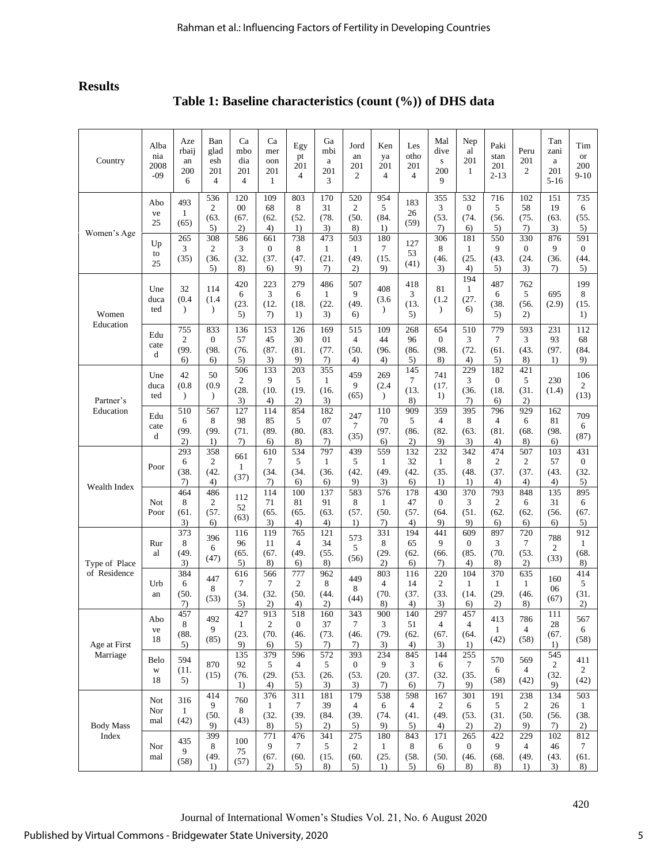## **Results**

**Table 1: Baseline characteristics (count (%)) of DHS data**

| Country                       | Alba<br>nia<br>2008<br>$-09$ | Aze<br>rbaij<br>an<br>200<br>6      | Ban<br>glad<br>esh<br>201<br>$\overline{4}$ | Ca<br>mbo<br>dia<br>201<br>4        | Ca<br>mer<br>oon<br>201<br>1      | Egy<br>pt<br>201<br>4                 | Ga<br>mbi<br>a<br>201<br>3        | Jord<br>an<br>201<br>$\overline{c}$     | Ken<br>ya<br>201<br>$\overline{4}$      | Les<br>otho<br>201<br>$\overline{4}$ | Mal<br>dive<br>${\bf S}$<br>200<br>9 | Nep<br>al<br>201<br>$\mathbf{1}$      | Paki<br>stan<br>201<br>$2 - 13$       | Peru<br>201<br>$\overline{c}$       | Tan<br>zani<br>a<br>201<br>$5 - 16$ | Tim<br><b>or</b><br>200<br>$9-10$   |
|-------------------------------|------------------------------|-------------------------------------|---------------------------------------------|-------------------------------------|-----------------------------------|---------------------------------------|-----------------------------------|-----------------------------------------|-----------------------------------------|--------------------------------------|--------------------------------------|---------------------------------------|---------------------------------------|-------------------------------------|-------------------------------------|-------------------------------------|
| Women's Age                   | Abo<br>ve<br>25              | 493<br>1<br>(65)                    | 536<br>$\overline{c}$<br>(63.<br>5)         | 120<br>00<br>(67,<br>2)             | 109<br>68<br>(62.<br>4)           | 803<br>8<br>(52.<br>1)                | 170<br>31<br>(78.<br>3)           | 520<br>$\mathfrak{2}$<br>(50, 50)<br>8) | 954<br>5<br>(84.<br>1)                  | 183<br>26<br>(59)                    | 355<br>3<br>(53.<br>7)               | 532<br>$\boldsymbol{0}$<br>(74.<br>6) | 716<br>5<br>(56.<br>5)                | 102<br>58<br>(75.<br>7)             | 151<br>19<br>(63.<br>3)             | 735<br>6<br>(55.<br>5)              |
|                               | Up<br>to<br>25               | 265<br>3<br>(35)                    | 308<br>2<br>(36.<br>5)                      | 586<br>3<br>(32.<br>8)              | 661<br>$\mathbf{0}$<br>(37,<br>6) | 738<br>8<br>(47.<br>9)                | 473<br>$\mathbf{1}$<br>(21.<br>7) | 503<br>$\mathbf{1}$<br>(49.<br>2)       | 180<br>7<br>(15.<br>9)                  | 127<br>53<br>(41)                    | 306<br>8<br>(46.<br>3)               | 181<br>$\mathbf{1}$<br>(25.<br>4)     | 550<br>9<br>(43.<br>5)                | 330<br>$\mathbf{0}$<br>(24.<br>3)   | 876<br>9<br>(36.<br>7)              | 591<br>$\overline{0}$<br>(44.<br>5) |
| Women<br>Education            | Une<br>duca<br>ted           | 32<br>(0.4)<br>$\lambda$            | 114<br>(1.4)<br>$\mathcal{L}$               | 420<br>6<br>(23.<br>5)              | 223<br>3<br>(12.<br>7)            | 279<br>6<br>(18.<br>1)                | 486<br>$\mathbf{1}$<br>(22.<br>3) | 507<br>9<br>(49.<br>6)                  | 408<br>(3.6)<br>$\lambda$               | 418<br>3<br>(13.<br>5)               | 81<br>(1.2)<br>$\lambda$             | 194<br>$\mathbf{1}$<br>(27.<br>6)     | 487<br>6<br>(38.<br>5)                | 762<br>5<br>(56.<br>2)              | 695<br>(2.9)                        | 199<br>8<br>(15.<br>1)              |
|                               | Edu<br>cate<br>d             | 755<br>$\overline{2}$<br>(99.<br>6) | 833<br>$\mathbf{0}$<br>(98.<br>6)           | 136<br>57<br>(76.<br>5)             | 153<br>45<br>(87,<br>3)           | 126<br>30<br>(81.<br>9)               | 169<br>01<br>(77.<br>7)           | 515<br>$\overline{4}$<br>(50, 50)<br>4) | 109<br>44<br>(96.<br>4)                 | 268<br>96<br>(86.<br>5)              | 654<br>$\overline{0}$<br>(98.<br>8)  | 510<br>3<br>(72.<br>4)                | 779<br>$\tau$<br>(61.<br>5)           | 593<br>3<br>(43,<br>8)              | 231<br>93<br>(97.<br>1)             | 112<br>68<br>(84.<br>9)             |
| Partner's<br>Education        | Une<br>duca<br>ted           | 42<br>(0.8)<br>$\mathcal{L}$        | 50<br>(0.9)<br>$\mathcal{E}$                | 506<br>$\overline{c}$<br>(28.<br>3) | 133<br>9<br>(10.<br>4)            | 203<br>5<br>(19.<br>2)                | 355<br>1<br>(16.<br>3)            | 459<br>9<br>(65)                        | 269<br>(2.4)<br>$\lambda$               | 145<br>7<br>(13.<br>8)               | 741<br>(17.<br>1)                    | 229<br>3<br>(36.<br>7)                | 182<br>$\boldsymbol{0}$<br>(18.<br>6) | 421<br>5<br>(31.<br>2)              | 230<br>(1.4)                        | 106<br>$\overline{c}$<br>(13)       |
|                               | Edu<br>cate<br>d             | 510<br>6<br>(99.<br>2)              | 567<br>8<br>(99.<br>1)                      | 127<br>98<br>(71.<br>7)             | 114<br>85<br>(89.<br>6)           | 854<br>5<br>(80.<br>8)                | 182<br>07<br>(83.<br>7)           | 247<br>7<br>(35)                        | 110<br>70<br>(97.<br>6)                 | 909<br>5<br>(86.<br>2)               | 359<br>4<br>(82.<br>9)               | 395<br>8<br>(63.<br>3)                | 796<br>$\overline{4}$<br>(81.<br>4)   | 929<br>6<br>(68.<br>8)              | 162<br>81<br>(98.<br>6)             | 709<br>6<br>(87)                    |
| Wealth Index                  | Poor                         | 293<br>6<br>(38.<br>7)              | 358<br>2<br>(42.<br>4)                      | 661<br>$\mathbf{1}$<br>(37)         | 610<br>7<br>(34,<br>7)            | 534<br>5<br>(34.<br>6)                | 797<br>1<br>(36.<br>6)            | 439<br>5<br>(42,<br>9)                  | 559<br>1<br>(49.<br>3)                  | 132<br>32<br>(42.<br>6)              | 232<br>$\mathbf{1}$<br>(35.<br>1)    | 342<br>8<br>(48.<br>1)                | 474<br>$\overline{c}$<br>(37.<br>4)   | 507<br>$\overline{c}$<br>(37.<br>4) | 103<br>57<br>(43.<br>4)             | 431<br>$\overline{0}$<br>(32.<br>5) |
|                               | Not<br>Poor                  | 464<br>8<br>(61,<br>3)              | 486<br>$\overline{c}$<br>(57,<br>6)         | 112<br>52<br>(63)                   | 114<br>71<br>(65,<br>3)           | 100<br>81<br>(65.<br>4)               | 137<br>91<br>(63,<br>4)           | 583<br>8<br>(57.<br>1)                  | 576<br>$\mathbf{1}$<br>(50, 50)<br>7)   | 178<br>47<br>(57.<br>4)              | 430<br>$\overline{0}$<br>(64.<br>9)  | 370<br>3<br>(51.<br>9)                | 793<br>$\mathfrak{2}$<br>(62.<br>6)   | 848<br>6<br>(62,<br>6)              | 135<br>31<br>(56.<br>6)             | 895<br>6<br>(67.<br>5)              |
| Type of Place<br>of Residence | Rur<br>al                    | 373<br>8<br>(49.<br>3)              | 396<br>6<br>(47)                            | 116<br>96<br>(65,<br>5)             | 119<br>11<br>(67.<br>8)           | 765<br>$\overline{4}$<br>(49.<br>6)   | 121<br>34<br>(55.<br>8)           | 573<br>5<br>(56)                        | 331<br>8<br>(29.<br>2)                  | 194<br>65<br>(62.<br>6)              | 441<br>9<br>(66.<br>7)               | 609<br>$\boldsymbol{0}$<br>(85.<br>4) | 897<br>3<br>(70.<br>8)                | 720<br>$\tau$<br>(53.<br>2)         | 788<br>$\overline{c}$<br>(33)       | 912<br>1<br>(68.<br>8)              |
|                               | Urb<br>an                    | 384<br>6<br>(50.<br>7)              | 447<br>8<br>(53)                            | 616<br>7<br>(34.<br>5)              | 566<br>7<br>(32.<br>2)            | 777<br>$\overline{2}$<br>(50.<br>4)   | 962<br>8<br>(44.<br>2)            | 449<br>8<br>(44)                        | 803<br>$\overline{4}$<br>(70, 70)<br>8) | 116<br>14<br>(37.<br>4)              | 220<br>$\sqrt{2}$<br>(33.<br>3)      | 104<br>$\mathbf{1}$<br>(14.<br>6)     | 370<br>$\mathbf{1}$<br>(29.<br>2)     | 635<br>$\mathbf{1}$<br>(46.<br>8)   | 160<br>06<br>(67)                   | 414<br>5<br>(31.<br>2)              |
| Age at First<br>Marriage      | Abo<br>ve<br>18              | 457<br>8<br>(88.<br>5)              | 492<br>9<br>(85)                            | 427<br>$\mathbf{1}$<br>(23.<br>9)   | 913<br>$\mathbf{2}$<br>(70.<br>6) | 518<br>$\boldsymbol{0}$<br>(46.<br>5) | 160<br>37<br>(73.<br>7)           | 343<br>7<br>(46.<br>7)                  | 900<br>3<br>(79.<br>3)                  | 140<br>51<br>(62.<br>4)              | 297<br>4<br>(67.<br>3)               | 457<br>4<br>(64.<br>1)                | 413<br>$\mathbf{1}$<br>(42)           | 786<br>$\overline{4}$<br>(58)       | 111<br>28<br>(67,<br>1)             | 567<br>6<br>(58)                    |
|                               | Belo<br>W<br>18              | 594<br>(11.<br>5)                   | 870<br>(15)                                 | 135<br>92<br>(76.<br>1)             | 379<br>5<br>(29.<br>4)            | 596<br>4<br>(53.<br>5)                | 572<br>5<br>(26.<br>3)            | 393<br>$\boldsymbol{0}$<br>(53.<br>3)   | 234<br>9<br>(20.<br>7)                  | 845<br>3<br>(37.<br>6)               | 144<br>6<br>(32.<br>7)               | 255<br>7<br>(35.<br>9)                | 570<br>6<br>(58)                      | 569<br>$\overline{4}$<br>(42)       | 545<br>2<br>(32.<br>9)              | 411<br>$\overline{c}$<br>(42)       |
| <b>Body Mass</b><br>Index     | <b>Not</b><br>Nor<br>mal     | 316<br>$\mathbf{1}$<br>(42)         | 414<br>9<br>(50.<br>9)                      | 760<br>8<br>(43)                    | 376<br>$\mathbf{1}$<br>(32.<br>8) | 311<br>$\tau$<br>(39.<br>5)           | 181<br>39<br>(84.<br>2)           | 179<br>$\overline{4}$<br>(39.<br>5)     | 538<br>6<br>(74.<br>9)                  | 598<br>$\overline{4}$<br>(41.<br>5)  | 167<br>$\overline{c}$<br>(49.<br>4)  | 301<br>6<br>(53.<br>2)                | 191<br>5<br>(31.<br>2)                | 238<br>$\overline{2}$<br>(50.<br>9) | 134<br>26<br>(56.<br>7)             | 503<br>1<br>(38.<br>2)              |
|                               | Nor<br>mal                   | 435<br>9<br>(58)                    | 399<br>8<br>(49.<br>$\left( \right)$        | 100<br>75<br>(57)                   | 771<br>9<br>(67.<br>2)            | 476<br>$\tau$<br>(60.<br>5)           | 341<br>5<br>(15.<br>8)            | 275<br>$\overline{c}$<br>(60.<br>5)     | 180<br>1<br>(25.<br>1)                  | 843<br>8<br>(58.<br>5)               | 171<br>6<br>(50.<br>6)               | 265<br>$\boldsymbol{0}$<br>(46.<br>8) | 422<br>9<br>(68.<br>8)                | 229<br>$\overline{4}$<br>(49.<br>1) | 102<br>46<br>(43.<br>3)             | 812<br>7<br>(61.<br>8)              |

Journal of International Women's Studies Vol. 21, No. 6 August 2020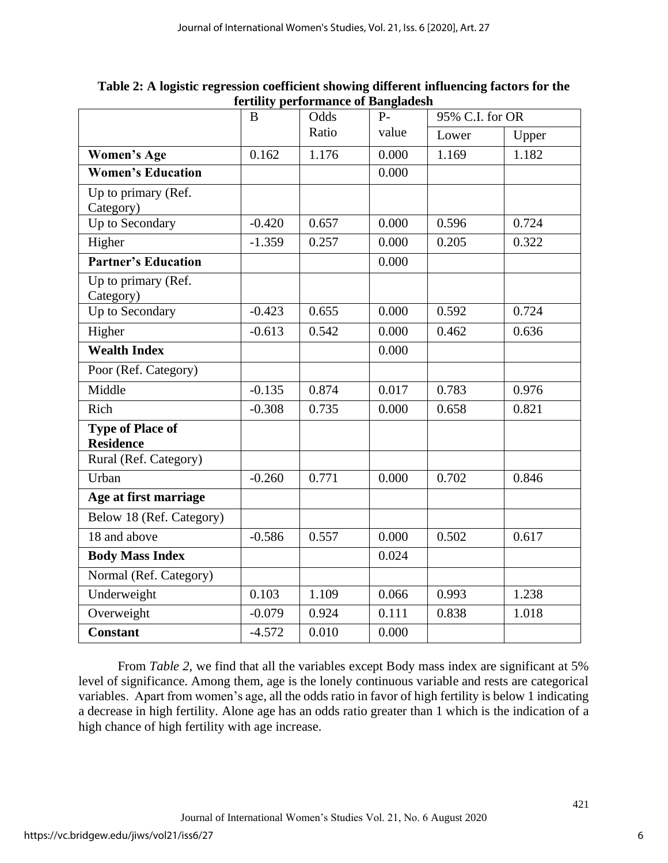|                                             | B        | Odds<br>$P -$ |       | 95% C.I. for OR |       |  |
|---------------------------------------------|----------|---------------|-------|-----------------|-------|--|
|                                             |          | Ratio         | value | Lower           | Upper |  |
| <b>Women's Age</b>                          | 0.162    | 1.176         | 0.000 | 1.169           | 1.182 |  |
| <b>Women's Education</b>                    |          |               | 0.000 |                 |       |  |
| Up to primary (Ref.                         |          |               |       |                 |       |  |
| Category)                                   |          |               |       |                 |       |  |
| Up to Secondary                             | $-0.420$ | 0.657         | 0.000 | 0.596           | 0.724 |  |
| Higher                                      | $-1.359$ | 0.257         | 0.000 | 0.205           | 0.322 |  |
| <b>Partner's Education</b>                  |          |               | 0.000 |                 |       |  |
| Up to primary (Ref.<br>Category)            |          |               |       |                 |       |  |
| Up to Secondary                             | $-0.423$ | 0.655         | 0.000 | 0.592           | 0.724 |  |
| Higher                                      | $-0.613$ | 0.542         | 0.000 | 0.462           | 0.636 |  |
| <b>Wealth Index</b>                         |          |               | 0.000 |                 |       |  |
| Poor (Ref. Category)                        |          |               |       |                 |       |  |
| Middle                                      | $-0.135$ | 0.874         | 0.017 | 0.783           | 0.976 |  |
| Rich                                        | $-0.308$ | 0.735         | 0.000 | 0.658           | 0.821 |  |
| <b>Type of Place of</b><br><b>Residence</b> |          |               |       |                 |       |  |
| Rural (Ref. Category)                       |          |               |       |                 |       |  |
| Urban                                       | $-0.260$ | 0.771         | 0.000 | 0.702           | 0.846 |  |
| Age at first marriage                       |          |               |       |                 |       |  |
| Below 18 (Ref. Category)                    |          |               |       |                 |       |  |
| 18 and above                                | $-0.586$ | 0.557         | 0.000 | 0.502           | 0.617 |  |
| <b>Body Mass Index</b>                      |          |               | 0.024 |                 |       |  |
| Normal (Ref. Category)                      |          |               |       |                 |       |  |
| Underweight                                 | 0.103    | 1.109         | 0.066 | 0.993           | 1.238 |  |
| Overweight                                  | $-0.079$ | 0.924         | 0.111 | 0.838           | 1.018 |  |
| <b>Constant</b>                             | $-4.572$ | 0.010         | 0.000 |                 |       |  |

**Table 2: A logistic regression coefficient showing different influencing factors for the fertility performance of Bangladesh**

From *Table 2,* we find that all the variables except Body mass index are significant at 5% level of significance. Among them, age is the lonely continuous variable and rests are categorical variables. Apart from women's age, all the odds ratio in favor of high fertility is below 1 indicating a decrease in high fertility. Alone age has an odds ratio greater than 1 which is the indication of a high chance of high fertility with age increase.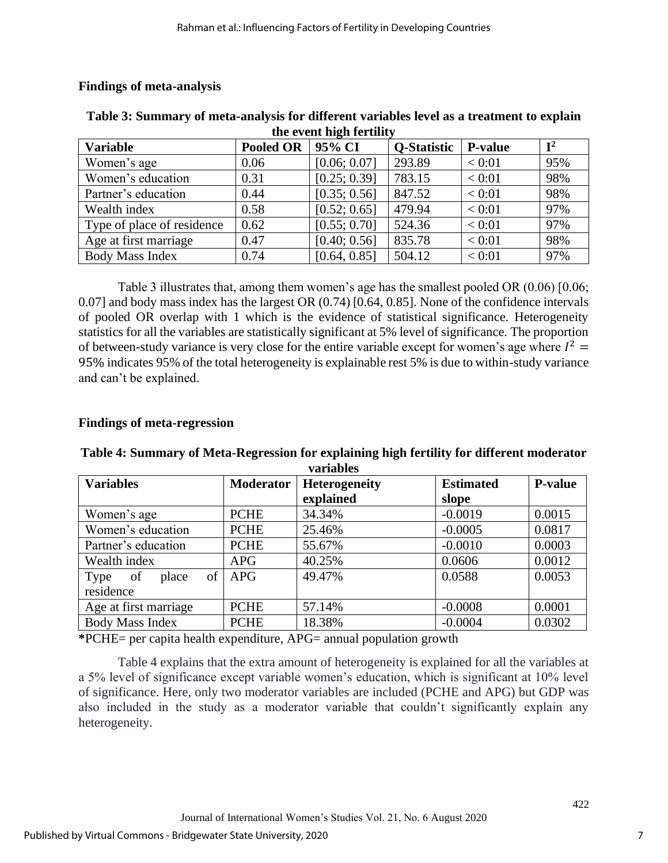| the event man ierunt       |                  |              |                    |                |                |  |  |  |
|----------------------------|------------------|--------------|--------------------|----------------|----------------|--|--|--|
| <b>Variable</b>            | <b>Pooled OR</b> | 95% CI       | <b>O-Statistic</b> | <b>P-value</b> | $\mathbf{I}^2$ |  |  |  |
| Women's age                | 0.06             | [0.06; 0.07] | 293.89             | < 0:01         | 95%            |  |  |  |
| Women's education          | 0.31             | [0.25; 0.39] | 783.15             | < 0:01         | 98%            |  |  |  |
| Partner's education        | 0.44             | [0.35; 0.56] | 847.52             | < 0:01         | 98%            |  |  |  |
| Wealth index               | 0.58             | [0.52; 0.65] | 479.94             | < 0:01         | 97%            |  |  |  |
| Type of place of residence | 0.62             | [0.55; 0.70] | 524.36             | < 0:01         | 97%            |  |  |  |
| Age at first marriage      | 0.47             | [0.40; 0.56] | 835.78             | < 0:01         | 98%            |  |  |  |
| Body Mass Index            | 0.74             | [0.64, 0.85] | 504.12             | < 0:01         | 97%            |  |  |  |

## **Findings of meta-analysis**

| Table 3: Summary of meta-analysis for different variables level as a treatment to explain |
|-------------------------------------------------------------------------------------------|
| the event high fertility                                                                  |

Table 3 illustrates that, among them women's age has the smallest pooled OR (0.06) [0.06; 0.07] and body mass index has the largest OR (0.74) [0.64, 0.85]. None of the confidence intervals of pooled OR overlap with 1 which is the evidence of statistical significance. Heterogeneity statistics for all the variables are statistically significant at 5% level of significance. The proportion of between-study variance is very close for the entire variable except for women's age where  $I^2 =$ 95% indicates 95% of the total heterogeneity is explainable rest 5% is due to within-study variance and can't be explained.

## **Findings of meta-regression**

| <b>Variables</b>               | <b>Moderator</b> | <b>Heterogeneity</b> | <b>Estimated</b> | <b>P-value</b> |
|--------------------------------|------------------|----------------------|------------------|----------------|
|                                |                  | explained            | slope            |                |
| Women's age                    | <b>PCHE</b>      | 34.34%               | $-0.0019$        | 0.0015         |
| Women's education              | <b>PCHE</b>      | 25.46%<br>$-0.0005$  |                  |                |
| Partner's education            | <b>PCHE</b>      | 55.67%               | $-0.0010$        | 0.0003         |
| Wealth index                   | <b>APG</b>       | 40.25%               | 0.0606           | 0.0012         |
| $\sigma$ f<br>Type of<br>place | <b>APG</b>       | 49.47%               | 0.0588           | 0.0053         |
| residence                      |                  |                      |                  |                |
| Age at first marriage          | <b>PCHE</b>      | 57.14%               | $-0.0008$        | 0.0001         |
| <b>Body Mass Index</b>         | <b>PCHE</b>      | 18.38%               | $-0.0004$        | 0.0302         |

#### **Table 4: Summary of Meta-Regression for explaining high fertility for different moderator variables**

**\***PCHE= per capita health expenditure, APG= annual population growth

Table 4 explains that the extra amount of heterogeneity is explained for all the variables at a 5% level of significance except variable women's education, which is significant at 10% level of significance. Here, only two moderator variables are included (PCHE and APG) but GDP was also included in the study as a moderator variable that couldn't significantly explain any heterogeneity.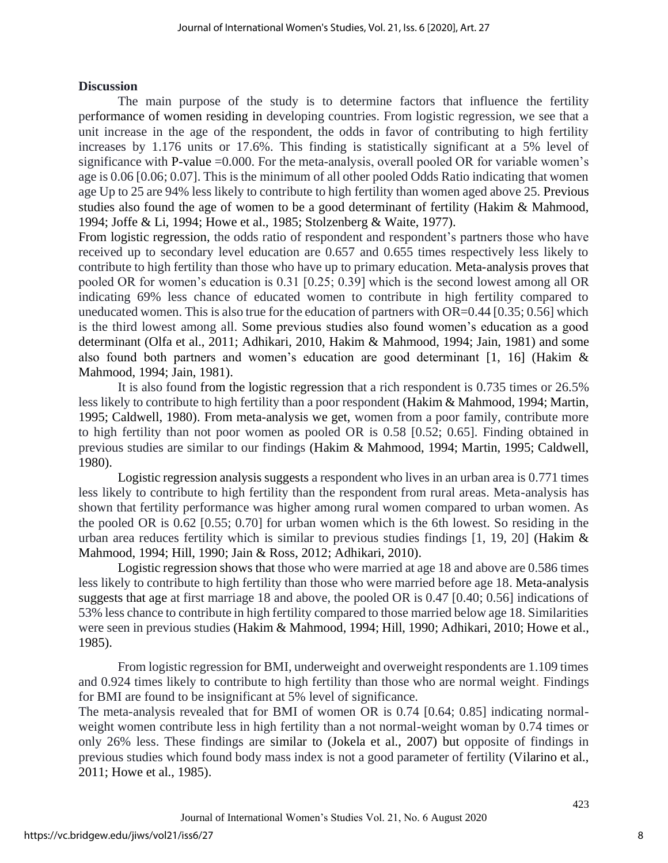## **Discussion**

The main purpose of the study is to determine factors that influence the fertility performance of women residing in developing countries. From logistic regression, we see that a unit increase in the age of the respondent, the odds in favor of contributing to high fertility increases by 1.176 units or 17.6%. This finding is statistically significant at a 5% level of significance with P-value =0.000. For the meta-analysis, overall pooled OR for variable women's age is 0.06 [0.06; 0.07]. This is the minimum of all other pooled Odds Ratio indicating that women age Up to 25 are 94% less likely to contribute to high fertility than women aged above 25. Previous studies also found the age of women to be a good determinant of fertility (Hakim & Mahmood, 1994; Joffe & Li, 1994; Howe et al., 1985; Stolzenberg & Waite, 1977).

From logistic regression, the odds ratio of respondent and respondent's partners those who have received up to secondary level education are 0.657 and 0.655 times respectively less likely to contribute to high fertility than those who have up to primary education. Meta-analysis proves that pooled OR for women's education is 0.31 [0.25; 0.39] which is the second lowest among all OR indicating 69% less chance of educated women to contribute in high fertility compared to uneducated women. This is also true for the education of partners with OR=0.44 [0.35; 0.56] which is the third lowest among all. Some previous studies also found women's education as a good determinant (Olfa et al., 2011; Adhikari, 2010, Hakim & Mahmood, 1994; Jain, 1981) and some also found both partners and women's education are good determinant [1, 16] (Hakim & Mahmood, 1994; Jain, 1981).

It is also found from the logistic regression that a rich respondent is 0.735 times or 26.5% less likely to contribute to high fertility than a poor respondent (Hakim & Mahmood, 1994; Martin, 1995; Caldwell, 1980). From meta-analysis we get, women from a poor family, contribute more to high fertility than not poor women as pooled OR is 0.58 [0.52; 0.65]. Finding obtained in previous studies are similar to our findings (Hakim & Mahmood, 1994; Martin, 1995; Caldwell, 1980).

Logistic regression analysis suggests a respondent who lives in an urban area is 0.771 times less likely to contribute to high fertility than the respondent from rural areas. Meta-analysis has shown that fertility performance was higher among rural women compared to urban women. As the pooled OR is 0.62 [0.55; 0.70] for urban women which is the 6th lowest. So residing in the urban area reduces fertility which is similar to previous studies findings  $[1, 19, 20]$  (Hakim  $\&$ Mahmood, 1994; Hill, 1990; Jain & Ross, 2012; Adhikari, 2010).

Logistic regression shows that those who were married at age 18 and above are 0.586 times less likely to contribute to high fertility than those who were married before age 18. Meta-analysis suggests that age at first marriage 18 and above, the pooled OR is 0.47 [0.40; 0.56] indications of 53% less chance to contribute in high fertility compared to those married below age 18. Similarities were seen in previous studies (Hakim & Mahmood, 1994; Hill, 1990; Adhikari, 2010; Howe et al., 1985).

From logistic regression for BMI, underweight and overweight respondents are 1.109 times and 0.924 times likely to contribute to high fertility than those who are normal weight. Findings for BMI are found to be insignificant at 5% level of significance.

The meta-analysis revealed that for BMI of women OR is 0.74 [0.64; 0.85] indicating normalweight women contribute less in high fertility than a not normal-weight woman by 0.74 times or only 26% less. These findings are similar to (Jokela et al., 2007) but opposite of findings in previous studies which found body mass index is not a good parameter of fertility (Vilarino et al., 2011; Howe et al., 1985).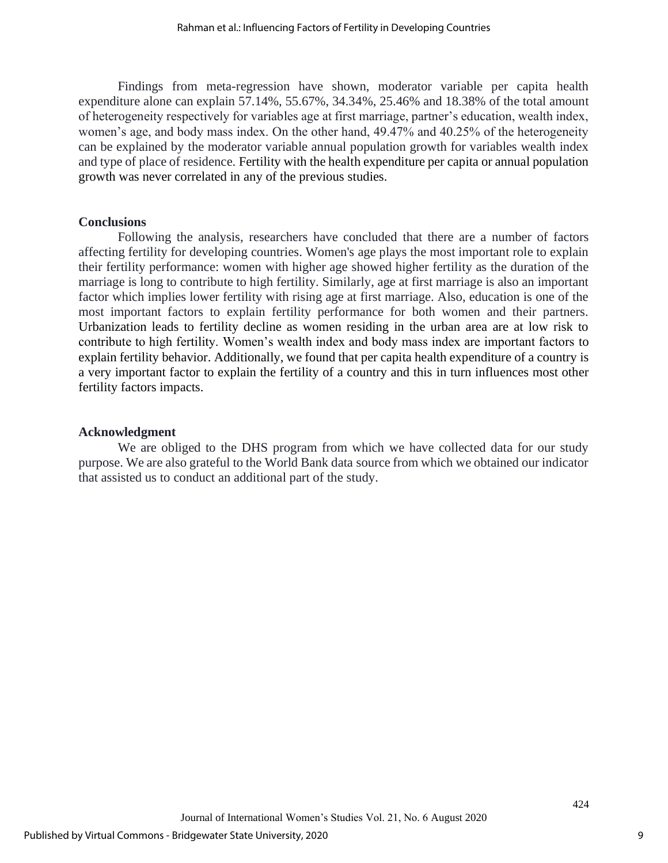Findings from meta-regression have shown, moderator variable per capita health expenditure alone can explain 57.14%, 55.67%, 34.34%, 25.46% and 18.38% of the total amount of heterogeneity respectively for variables age at first marriage, partner's education, wealth index, women's age, and body mass index. On the other hand, 49.47% and 40.25% of the heterogeneity can be explained by the moderator variable annual population growth for variables wealth index and type of place of residence. Fertility with the health expenditure per capita or annual population growth was never correlated in any of the previous studies.

## **Conclusions**

Following the analysis, researchers have concluded that there are a number of factors affecting fertility for developing countries. Women's age plays the most important role to explain their fertility performance: women with higher age showed higher fertility as the duration of the marriage is long to contribute to high fertility. Similarly, age at first marriage is also an important factor which implies lower fertility with rising age at first marriage. Also, education is one of the most important factors to explain fertility performance for both women and their partners. Urbanization leads to fertility decline as women residing in the urban area are at low risk to contribute to high fertility. Women's wealth index and body mass index are important factors to explain fertility behavior. Additionally, we found that per capita health expenditure of a country is a very important factor to explain the fertility of a country and this in turn influences most other fertility factors impacts.

## **Acknowledgment**

We are obliged to the DHS program from which we have collected data for our study purpose. We are also grateful to the World Bank data source from which we obtained our indicator that assisted us to conduct an additional part of the study.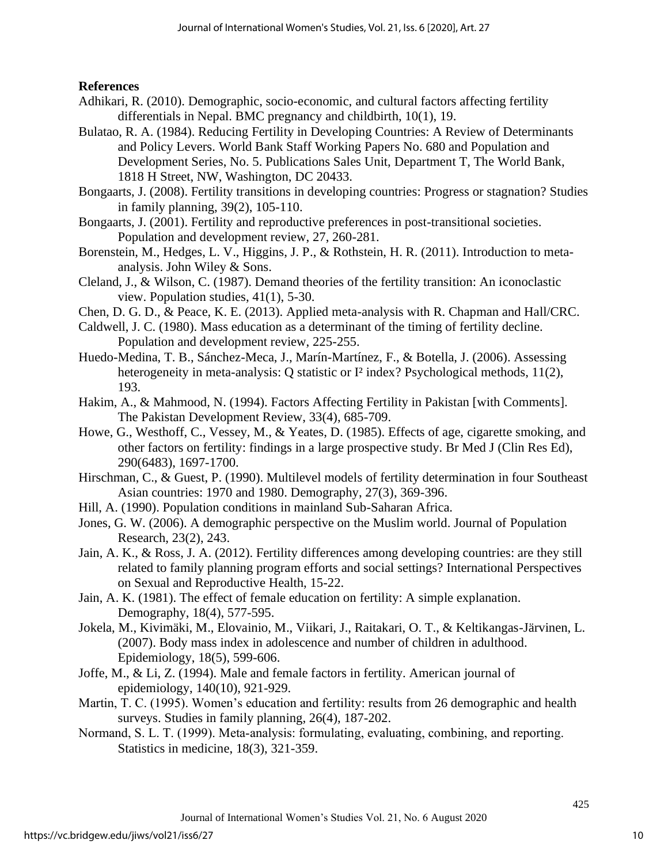## **References**

- Adhikari, R. (2010). Demographic, socio-economic, and cultural factors affecting fertility differentials in Nepal. BMC pregnancy and childbirth, 10(1), 19.
- Bulatao, R. A. (1984). Reducing Fertility in Developing Countries: A Review of Determinants and Policy Levers. World Bank Staff Working Papers No. 680 and Population and Development Series, No. 5. Publications Sales Unit, Department T, The World Bank, 1818 H Street, NW, Washington, DC 20433.
- Bongaarts, J. (2008). Fertility transitions in developing countries: Progress or stagnation? Studies in family planning, 39(2), 105-110.
- Bongaarts, J. (2001). Fertility and reproductive preferences in post-transitional societies. Population and development review, 27, 260-281.
- Borenstein, M., Hedges, L. V., Higgins, J. P., & Rothstein, H. R. (2011). Introduction to metaanalysis. John Wiley & Sons.
- Cleland, J., & Wilson, C. (1987). Demand theories of the fertility transition: An iconoclastic view. Population studies, 41(1), 5-30.
- Chen, D. G. D., & Peace, K. E. (2013). Applied meta-analysis with R. Chapman and Hall/CRC.
- Caldwell, J. C. (1980). Mass education as a determinant of the timing of fertility decline. Population and development review, 225-255.
- Huedo-Medina, T. B., Sánchez-Meca, J., Marín-Martínez, F., & Botella, J. (2006). Assessing heterogeneity in meta-analysis: Q statistic or  $I^2$  index? Psychological methods, 11(2), 193.
- Hakim, A., & Mahmood, N. (1994). Factors Affecting Fertility in Pakistan [with Comments]. The Pakistan Development Review, 33(4), 685-709.
- Howe, G., Westhoff, C., Vessey, M., & Yeates, D. (1985). Effects of age, cigarette smoking, and other factors on fertility: findings in a large prospective study. Br Med J (Clin Res Ed), 290(6483), 1697-1700.
- Hirschman, C., & Guest, P. (1990). Multilevel models of fertility determination in four Southeast Asian countries: 1970 and 1980. Demography, 27(3), 369-396.
- Hill, A. (1990). Population conditions in mainland Sub-Saharan Africa.
- Jones, G. W. (2006). A demographic perspective on the Muslim world. Journal of Population Research, 23(2), 243.
- Jain, A. K., & Ross, J. A. (2012). Fertility differences among developing countries: are they still related to family planning program efforts and social settings? International Perspectives on Sexual and Reproductive Health, 15-22.
- Jain, A. K. (1981). The effect of female education on fertility: A simple explanation. Demography, 18(4), 577-595.
- Jokela, M., Kivimäki, M., Elovainio, M., Viikari, J., Raitakari, O. T., & Keltikangas-Järvinen, L. (2007). Body mass index in adolescence and number of children in adulthood. Epidemiology, 18(5), 599-606.
- Joffe, M., & Li, Z. (1994). Male and female factors in fertility. American journal of epidemiology, 140(10), 921-929.
- Martin, T. C. (1995). Women's education and fertility: results from 26 demographic and health surveys. Studies in family planning, 26(4), 187-202.
- Normand, S. L. T. (1999). Meta‐analysis: formulating, evaluating, combining, and reporting. Statistics in medicine, 18(3), 321-359.